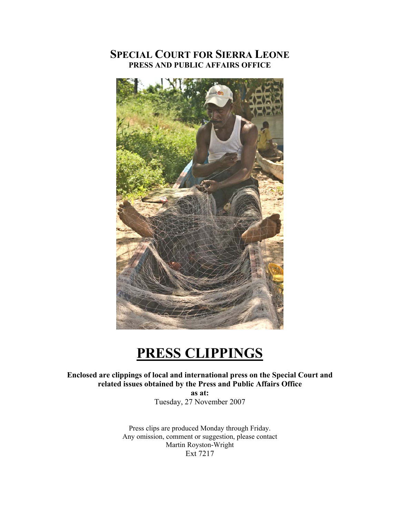## **SPECIAL COURT FOR SIERRA LEONE PRESS AND PUBLIC AFFAIRS OFFICE**



## **PRESS CLIPPINGS**

## **Enclosed are clippings of local and international press on the Special Court and related issues obtained by the Press and Public Affairs Office**

**as at:**  Tuesday, 27 November 2007

Press clips are produced Monday through Friday. Any omission, comment or suggestion, please contact Martin Royston-Wright Ext 7217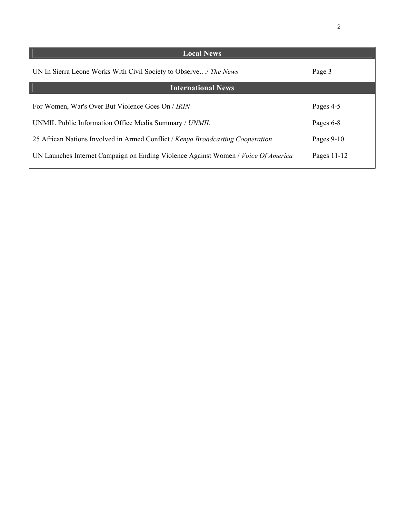| <b>Local News</b>                                                                 |               |
|-----------------------------------------------------------------------------------|---------------|
| UN In Sierra Leone Works With Civil Society to Observe/ The News                  | Page 3        |
| <b>International News</b>                                                         |               |
|                                                                                   |               |
| For Women, War's Over But Violence Goes On / IRIN                                 | Pages 4-5     |
| UNMIL Public Information Office Media Summary / UNMIL                             | Pages 6-8     |
| 25 African Nations Involved in Armed Conflict / Kenya Broadcasting Cooperation    | Pages $9-10$  |
| UN Launches Internet Campaign on Ending Violence Against Women / Voice Of America | Pages $11-12$ |
|                                                                                   |               |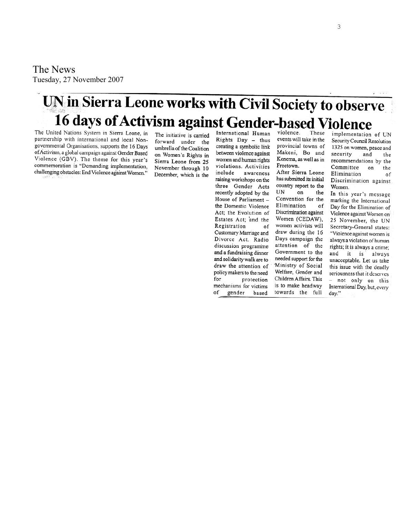The News Tuesday, 27 Nove mber 2007

# UN in Sierra Leone works with Civil Society to observe 16 days of Activism against Gender-based Violence

The United Nations System in Sierra Leone, in partnership with international and local Nongovernmental Organisations, supports the 16 Days of Activism, a global campaign against Gender Based Violence (GBV). The theme for this year's commemoration is "Demanding implementation, challenging obstacles: End Violence against Women."

The initiative is carried forward under the umbrella of the Coalition on Women's Rights in Sierra Leone from 25 November through 10 December, which is the

International Human Rights Day - thus creating a symbolic link between violence against women and human rights violations. Activities include awareness raising workshops on the three Gender Acts recently adopted by the House of Parliament the Domestic Violence Act; the Evolution of Estates Act; and the Registration of Customary Marriage and Divorce Act. Radio discussion programme and a fundraising dinner and solidarity walk are to draw the attention of policy makers to the need for protection mechanisms for victims of gender based

violence. These events will take in the provincial towns of Makeni, Bo and Kenema, as well as in Freetown.

After Sierra Leone has submitted its initial country report to the UN on the Convention for the Elimination 0f. Discrimination against Women (CEDAW), women activists will draw during the 16 Days campaign the attention of the Government to the needed support for the Ministry of Social Welfare, Gender and Children Affairs. This is to make headway towards the full

implementation of UN Security Council Resolution 1325 on women, peace and security and the recommendations by the Committee on the Elimination of Discrimination against Women.

In this year's message marking the International Day for the Elimination of Violence against Women on 25 November, the UN Secretary-General states: "Violence against women is always a violation of human rights; it is always a crime; and it is always unacceptable. Let us take this issue with the deadly seriousness that it deserves - not only on this International Day, but, every day."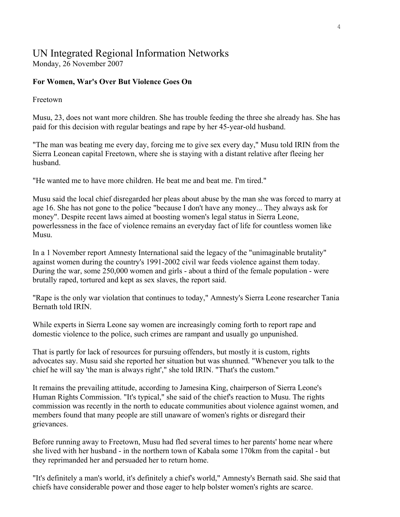## UN Integrated Regional Information Networks

Monday, 26 November 2007

## **For Women, War's Over But Violence Goes On**

Freetown

Musu, 23, does not want more children. She has trouble feeding the three she already has. She has paid for this decision with regular beatings and rape by her 45-year-old husband.

"The man was beating me every day, forcing me to give sex every day," Musu told IRIN from the Sierra Leonean capital Freetown, where she is staying with a distant relative after fleeing her husband.

"He wanted me to have more children. He beat me and beat me. I'm tired."

Musu said the local chief disregarded her pleas about abuse by the man she was forced to marry at age 16. She has not gone to the police "because I don't have any money... They always ask for money". Despite recent laws aimed at boosting women's legal status in Sierra Leone, powerlessness in the face of violence remains an everyday fact of life for countless women like Musu.

In a 1 November report Amnesty International said the legacy of the "unimaginable brutality" against women during the country's 1991-2002 civil war feeds violence against them today. During the war, some 250,000 women and girls - about a third of the female population - were brutally raped, tortured and kept as sex slaves, the report said.

"Rape is the only war violation that continues to today," Amnesty's Sierra Leone researcher Tania Bernath told IRIN.

While experts in Sierra Leone say women are increasingly coming forth to report rape and domestic violence to the police, such crimes are rampant and usually go unpunished.

That is partly for lack of resources for pursuing offenders, but mostly it is custom, rights advocates say. Musu said she reported her situation but was shunned. "Whenever you talk to the chief he will say 'the man is always right'," she told IRIN. "That's the custom."

It remains the prevailing attitude, according to Jamesina King, chairperson of Sierra Leone's Human Rights Commission. "It's typical," she said of the chief's reaction to Musu. The rights commission was recently in the north to educate communities about violence against women, and members found that many people are still unaware of women's rights or disregard their grievances.

Before running away to Freetown, Musu had fled several times to her parents' home near where she lived with her husband - in the northern town of Kabala some 170km from the capital - but they reprimanded her and persuaded her to return home.

"It's definitely a man's world, it's definitely a chief's world," Amnesty's Bernath said. She said that chiefs have considerable power and those eager to help bolster women's rights are scarce.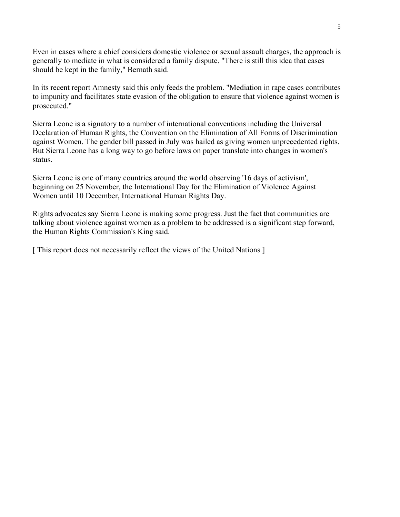Even in cases where a chief considers domestic violence or sexual assault charges, the approach is generally to mediate in what is considered a family dispute. "There is still this idea that cases should be kept in the family," Bernath said.

In its recent report Amnesty said this only feeds the problem. "Mediation in rape cases contributes to impunity and facilitates state evasion of the obligation to ensure that violence against women is prosecuted."

Sierra Leone is a signatory to a number of international conventions including the Universal Declaration of Human Rights, the Convention on the Elimination of All Forms of Discrimination against Women. The gender bill passed in July was hailed as giving women unprecedented rights. But Sierra Leone has a long way to go before laws on paper translate into changes in women's status.

Sierra Leone is one of many countries around the world observing '16 days of activism', beginning on 25 November, the International Day for the Elimination of Violence Against Women until 10 December, International Human Rights Day.

Rights advocates say Sierra Leone is making some progress. Just the fact that communities are talking about violence against women as a problem to be addressed is a significant step forward, the Human Rights Commission's King said.

[This report does not necessarily reflect the views of the United Nations ]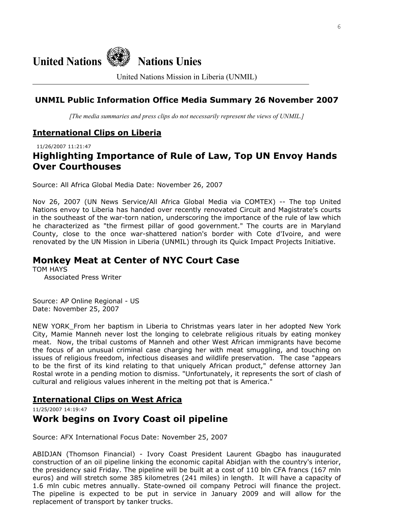

United Nations Mission in Liberia (UNMIL)

## **UNMIL Public Information Office Media Summary 26 November 2007**

*[The media summaries and press clips do not necessarily represent the views of UNMIL.]*

#### **International Clips on Liberia**

11/26/2007 11:21:47

## **Highlighting Importance of Rule of Law, Top UN Envoy Hands Over Courthouses**

Source: All Africa Global Media Date: November 26, 2007

Nov 26, 2007 (UN News Service/All Africa Global Media via COMTEX) -- The top United Nations envoy to Liberia has handed over recently renovated Circuit and Magistrate's courts in the southeast of the war-torn nation, underscoring the importance of the rule of law which he characterized as "the firmest pillar of good government." The courts are in Maryland County, close to the once war-shattered nation's border with Cote d'Ivoire, and were renovated by the UN Mission in Liberia (UNMIL) through its Quick Impact Projects Initiative.

## **Monkey Meat at Center of NYC Court Case**

TOM HAYS Associated Press Writer

Source: AP Online Regional - US Date: November 25, 2007

NEW YORK\_From her baptism in Liberia to Christmas years later in her adopted New York City, Mamie Manneh never lost the longing to celebrate religious rituals by eating monkey meat. Now, the tribal customs of Manneh and other West African immigrants have become the focus of an unusual criminal case charging her with meat smuggling, and touching on issues of religious freedom, infectious diseases and wildlife preservation. The case "appears to be the first of its kind relating to that uniquely African product," defense attorney Jan Rostal wrote in a pending motion to dismiss. "Unfortunately, it represents the sort of clash of cultural and religious values inherent in the melting pot that is America."

## **International Clips on West Africa**

11/25/2007 14:19:47

## **Work begins on Ivory Coast oil pipeline**

Source: AFX International Focus Date: November 25, 2007

ABIDJAN (Thomson Financial) - Ivory Coast President Laurent Gbagbo has inaugurated construction of an oil pipeline linking the economic capital Abidjan with the country's interior, the presidency said Friday. The pipeline will be built at a cost of 110 bln CFA francs (167 mln euros) and will stretch some 385 kilometres (241 miles) in length. It will have a capacity of 1.6 mln cubic metres annually. State-owned oil company Petroci will finance the project. The pipeline is expected to be put in service in January 2009 and will allow for the replacement of transport by tanker trucks.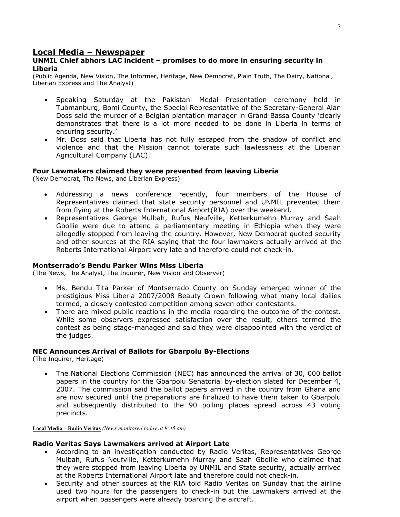#### **Local Media – Newspaper**

#### **UNMIL Chief abhors LAC incident – promises to do more in ensuring security in Liberia**

(Public Agenda, New Vision, The Informer, Heritage, New Democrat, Plain Truth, The Dairy, National, Liberian Express and The Analyst)

- Speaking Saturday at the Pakistani Medal Presentation ceremony held in Tubmanburg, Bomi County, the Special Representative of the Secretary-General Alan Doss said the murder of a Belgian plantation manager in Grand Bassa County 'clearly demonstrates that there is a lot more needed to be done in Liberia in terms of ensuring security.'
- Mr. Doss said that Liberia has not fully escaped from the shadow of conflict and violence and that the Mission cannot tolerate such lawlessness at the Liberian Agricultural Company (LAC).

#### **Four Lawmakers claimed they were prevented from leaving Liberia**

(New Democrat, The News, and Liberian Express)

- Addressing a news conference recently, four members of the House of Representatives claimed that state security personnel and UNMIL prevented them from flying at the Roberts International Airport(RIA) over the weekend.
- Representatives George Mulbah, Rufus Neufville, Ketterkumehn Murray and Saah Gbollie were due to attend a parliamentary meeting in Ethiopia when they were allegedly stopped from leaving the country. However, New Democrat quoted security and other sources at the RIA saying that the four lawmakers actually arrived at the Roberts International Airport very late and therefore could not check-in.

#### **Montserrado's Bendu Parker Wins Miss Liberia**

(The News, The Analyst, The Inquirer, New Vision and Observer)

- Ms. Bendu Tita Parker of Montserrado County on Sunday emerged winner of the prestigious Miss Liberia 2007/2008 Beauty Crown following what many local dailies termed, a closely contested competition among seven other contestants.
- There are mixed public reactions in the media regarding the outcome of the contest. While some observers expressed satisfaction over the result, others termed the contest as being stage-managed and said they were disappointed with the verdict of the judges.

#### **NEC Announces Arrival of Ballots for Gbarpolu By-Elections**

(The Inquirer, Heritage)

• The National Elections Commission (NEC) has announced the arrival of 30, 000 ballot papers in the country for the Gbarpolu Senatorial by-election slated for December 4, 2007. The commission said the ballot papers arrived in the country from Ghana and are now secured until the preparations are finalized to have them taken to Gbarpolu and subsequently distributed to the 90 polling places spread across 43 voting precincts.

**Local Media – Radio Veritas** *(News monitored today at 9:45 am)* 

#### **Radio Veritas Says Lawmakers arrived at Airport Late**

- According to an investigation conducted by Radio Veritas, Representatives George Mulbah, Rufus Neufville, Ketterkumehn Murray and Saah Gbollie who claimed that they were stopped from leaving Liberia by UNMIL and State security, actually arrived at the Roberts International Airport late and therefore could not check-in.
- Security and other sources at the RIA told Radio Veritas on Sunday that the airline used two hours for the passengers to check-in but the Lawmakers arrived at the airport when passengers were already boarding the aircraft.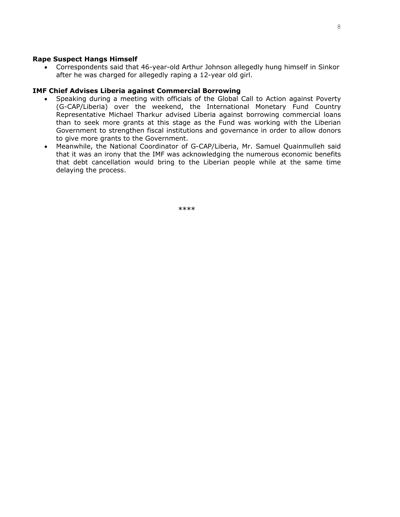#### **Rape Suspect Hangs Himself**

• Correspondents said that 46-year-old Arthur Johnson allegedly hung himself in Sinkor after he was charged for allegedly raping a 12-year old girl.

#### **IMF Chief Advises Liberia against Commercial Borrowing**

- Speaking during a meeting with officials of the Global Call to Action against Poverty (G-CAP/Liberia) over the weekend, the International Monetary Fund Country Representative Michael Tharkur advised Liberia against borrowing commercial loans than to seek more grants at this stage as the Fund was working with the Liberian Government to strengthen fiscal institutions and governance in order to allow donors to give more grants to the Government.
- Meanwhile, the National Coordinator of G-CAP/Liberia, Mr. Samuel Quainmulleh said that it was an irony that the IMF was acknowledging the numerous economic benefits that debt cancellation would bring to the Liberian people while at the same time delaying the process.

\*\*\*\*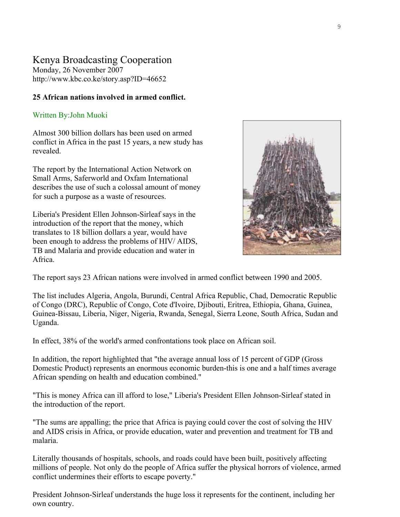## Kenya Broadcasting Cooperation

Monday, 26 November 2007 <http://www.kbc.co.ke/story.asp?ID=46652>

## **25 African nations involved in armed conflict.**

## Written By:John Muoki

Almost 300 billion dollars has been used on armed conflict in Africa in the past 15 years, a new study has revealed.

The report by the International Action Network on Small Arms, Saferworld and Oxfam International describes the use of such a colossal amount of money for such a purpose as a waste of resources.

Liberia's President Ellen Johnson-Sirleaf says in the introduction of the report that the money, which translates to 18 billion dollars a year, would have been enough to address the problems of HIV/ AIDS, TB and Malaria and provide education and water in Africa.



The report says 23 African nations were involved in armed conflict between 1990 and 2005.

The list includes Algeria, Angola, Burundi, Central Africa Republic, Chad, Democratic Republic of Congo (DRC), Republic of Congo, Cote d'Ivoire, Djibouti, Eritrea, Ethiopia, Ghana, Guinea, Guinea-Bissau, Liberia, Niger, Nigeria, Rwanda, Senegal, Sierra Leone, South Africa, Sudan and Uganda.

In effect, 38% of the world's armed confrontations took place on African soil.

In addition, the report highlighted that "the average annual loss of 15 percent of GDP (Gross Domestic Product) represents an enormous economic burden-this is one and a half times average African spending on health and education combined."

"This is money Africa can ill afford to lose," Liberia's President Ellen Johnson-Sirleaf stated in the introduction of the report.

"The sums are appalling; the price that Africa is paying could cover the cost of solving the HIV and AIDS crisis in Africa, or provide education, water and prevention and treatment for TB and malaria.

Literally thousands of hospitals, schools, and roads could have been built, positively affecting millions of people. Not only do the people of Africa suffer the physical horrors of violence, armed conflict undermines their efforts to escape poverty."

President Johnson-Sirleaf understands the huge loss it represents for the continent, including her own country.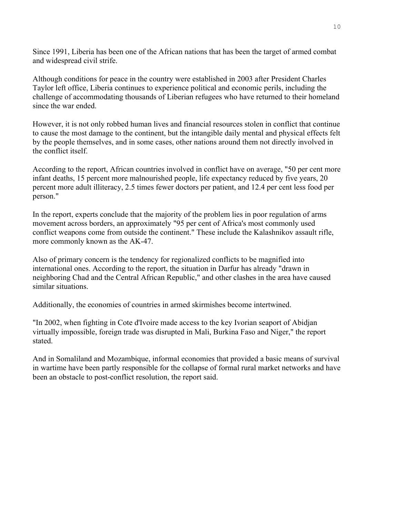Since 1991, Liberia has been one of the African nations that has been the target of armed combat and widespread civil strife.

Although conditions for peace in the country were established in 2003 after President Charles Taylor left office, Liberia continues to experience political and economic perils, including the challenge of accommodating thousands of Liberian refugees who have returned to their homeland since the war ended.

However, it is not only robbed human lives and financial resources stolen in conflict that continue to cause the most damage to the continent, but the intangible daily mental and physical effects felt by the people themselves, and in some cases, other nations around them not directly involved in the conflict itself.

According to the report, African countries involved in conflict have on average, "50 per cent more infant deaths, 15 percent more malnourished people, life expectancy reduced by five years, 20 percent more adult illiteracy, 2.5 times fewer doctors per patient, and 12.4 per cent less food per person."

In the report, experts conclude that the majority of the problem lies in poor regulation of arms movement across borders, an approximately "95 per cent of Africa's most commonly used conflict weapons come from outside the continent." These include the Kalashnikov assault rifle, more commonly known as the AK-47.

Also of primary concern is the tendency for regionalized conflicts to be magnified into international ones. According to the report, the situation in Darfur has already "drawn in neighboring Chad and the Central African Republic," and other clashes in the area have caused similar situations.

Additionally, the economies of countries in armed skirmishes become intertwined.

"In 2002, when fighting in Cote d'Ivoire made access to the key Ivorian seaport of Abidjan virtually impossible, foreign trade was disrupted in Mali, Burkina Faso and Niger," the report stated.

And in Somaliland and Mozambique, informal economies that provided a basic means of survival in wartime have been partly responsible for the collapse of formal rural market networks and have been an obstacle to post-conflict resolution, the report said.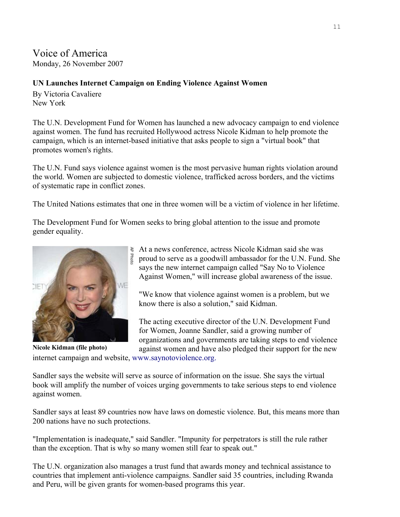## Voice of America

Monday, 26 November 2007

## **UN Launches Internet Campaign on Ending Violence Against Women**

By Victoria Cavaliere New York

The U.N. Development Fund for Women has launched a new advocacy campaign to end violence against women. The fund has recruited Hollywood actress Nicole Kidman to help promote the campaign, which is an internet-based initiative that asks people to sign a "virtual book" that promotes women's rights.

The U.N. Fund says violence against women is the most pervasive human rights violation around the world. Women are subjected to domestic violence, trafficked across borders, and the victims of systematic rape in conflict zones.

The United Nations estimates that one in three women will be a victim of violence in her lifetime.

The Development Fund for Women seeks to bring global attention to the issue and promote gender equality.



At a news conference, actress Nicole Kidman said she was proud to serve as a goodwill ambassador for the U.N. Fund. She says the new internet campaign called "Say No to Violence Against Women," will increase global awareness of the issue.

"We know that violence against women is a problem, but we know there is also a solution," said Kidman.

The acting executive director of the U.N. Development Fund for Women, Joanne Sandler, said a growing number of organizations and governments are taking steps to end violence against women and have also pledged their support for the new

internet campaign and website, www.saynotoviolence.org.

Sandler says the website will serve as source of information on the issue. She says the virtual book will amplify the number of voices urging governments to take serious steps to end violence against women.

Sandler says at least 89 countries now have laws on domestic violence. But, this means more than 200 nations have no such protections.

"Implementation is inadequate," said Sandler. "Impunity for perpetrators is still the rule rather than the exception. That is why so many women still fear to speak out."

The U.N. organization also manages a trust fund that awards money and technical assistance to countries that implement anti-violence campaigns. Sandler said 35 countries, including Rwanda and Peru, will be given grants for women-based programs this year.